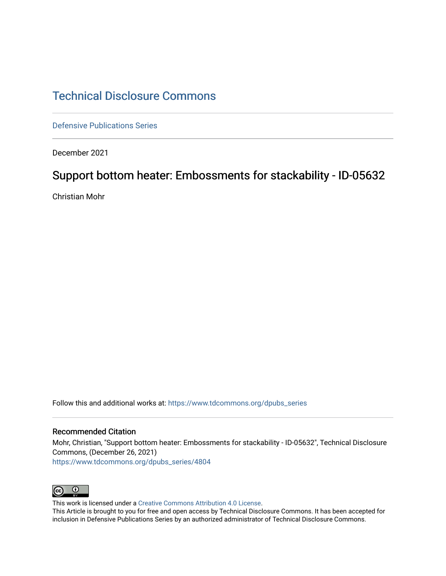# [Technical Disclosure Commons](https://www.tdcommons.org/)

[Defensive Publications Series](https://www.tdcommons.org/dpubs_series)

December 2021

# Support bottom heater: Embossments for stackability - ID-05632

Christian Mohr

Follow this and additional works at: [https://www.tdcommons.org/dpubs\\_series](https://www.tdcommons.org/dpubs_series?utm_source=www.tdcommons.org%2Fdpubs_series%2F4804&utm_medium=PDF&utm_campaign=PDFCoverPages) 

#### Recommended Citation

Mohr, Christian, "Support bottom heater: Embossments for stackability - ID-05632", Technical Disclosure Commons, (December 26, 2021) [https://www.tdcommons.org/dpubs\\_series/4804](https://www.tdcommons.org/dpubs_series/4804?utm_source=www.tdcommons.org%2Fdpubs_series%2F4804&utm_medium=PDF&utm_campaign=PDFCoverPages)



This work is licensed under a [Creative Commons Attribution 4.0 License](http://creativecommons.org/licenses/by/4.0/deed.en_US).

This Article is brought to you for free and open access by Technical Disclosure Commons. It has been accepted for inclusion in Defensive Publications Series by an authorized administrator of Technical Disclosure Commons.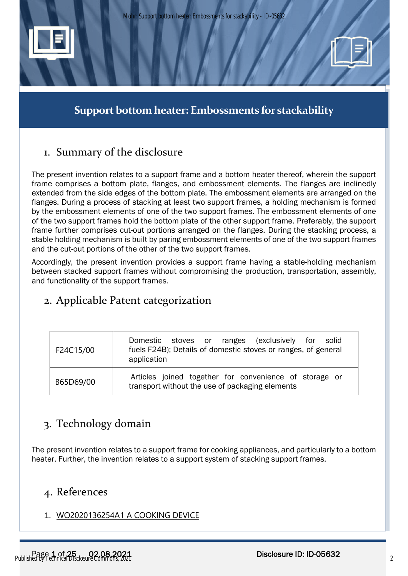

**Support bottom heater: Embossments for stackability**

# 1. Summary of the disclosure

The present invention relates to a support frame and a bottom heater thereof, wherein the support frame comprises a bottom plate, flanges, and embossment elements. The flanges are inclinedly extended from the side edges of the bottom plate. The embossment elements are arranged on the flanges. During a process of stacking at least two support frames, a holding mechanism is formed by the embossment elements of one of the two support frames. The embossment elements of one of the two support frames hold the bottom plate of the other support frame. Preferably, the support frame further comprises cut-out portions arranged on the flanges. During the stacking process, a stable holding mechanism is built by paring embossment elements of one of the two support frames and the cut-out portions of the other of the two support frames.

Accordingly, the present invention provides a support frame having a stable-holding mechanism between stacked support frames without compromising the production, transportation, assembly, and functionality of the support frames.

# 2. Applicable Patent categorization

| F24C15/00 | Domestic stoves or ranges (exclusively for solid<br>fuels F24B); Details of domestic stoves or ranges, of general<br>application |
|-----------|----------------------------------------------------------------------------------------------------------------------------------|
| B65D69/00 | Articles joined together for convenience of storage or<br>transport without the use of packaging elements                        |

# 3. Technology domain

The present invention relates to a support frame for cooking appliances, and particularly to a bottom heater. Further, the invention relates to a support system of stacking support frames.

# 4. References

# 1. [WO2020136254A1](https://worldwide.espacenet.com/patent/search?q=pn%3DWO2020136254A1) A COOKING DEVICE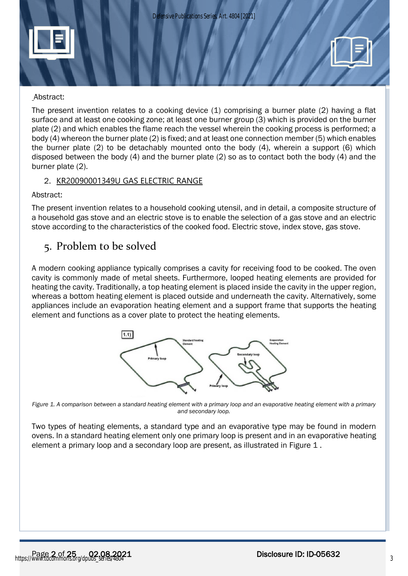



## Abstract:

The present invention relates to a cooking device (1) comprising a burner plate (2) having a flat surface and at least one cooking zone; at least one burner group (3) which is provided on the burner plate (2) and which enables the flame reach the vessel wherein the cooking process is performed; a body (4) whereon the burner plate (2) is fixed; and at least one connection member (5) which enables the burner plate (2) to be detachably mounted onto the body (4), wherein a support (6) which disposed between the body (4) and the burner plate (2) so as to contact both the body (4) and the burner plate (2).

# 2. [KR20090001349U](https://worldwide.espacenet.com/patent/search?q=pn%3DKR20090001349U) GAS ELECTRIC RANGE

Abstract:

The present invention relates to a household cooking utensil, and in detail, a composite structure of a household gas stove and an electric stove is to enable the selection of a gas stove and an electric stove according to the characteristics of the cooked food. Electric stove, index stove, gas stove.

# 5. Problem to be solved

A modern cooking appliance typically comprises a cavity for receiving food to be cooked. The oven cavity is commonly made of metal sheets. Furthermore, looped heating elements are provided for heating the cavity. Traditionally, a top heating element is placed inside the cavity in the upper region, whereas a bottom heating element is placed outside and underneath the cavity. Alternatively, some appliances include an evaporation heating element and a support frame that supports the heating element and functions as a cover plate to protect the heating elements.



<span id="page-2-0"></span>*Figure 1. A comparison between a standard heating element with a primary loop and an evaporative heating element with a primary and secondary loop.*

Two types of heating elements, a standard type and an evaporative type may be found in modern ovens. In a standard heating element only one primary loop is present and in an evaporative heating element a primary loop and a secondary loop are present, as illustrated in [Figure 1](#page-2-0).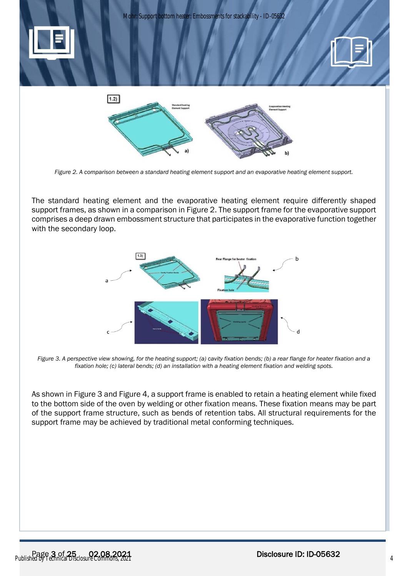

*Figure 2. A comparison between a standard heating element support and an evaporative heating element support.*

<span id="page-3-0"></span>The standard heating element and the evaporative heating element require differently shaped support frames, as shown in a comparison in [Figure 2.](#page-3-0) The support frame for the evaporative support comprises a deep drawn embossment structure that participates in the evaporative function together with the secondary loop.



<span id="page-3-1"></span>*Figure 3. A perspective view showing, for the heating support; (a) cavity fixation bends; (b) a rear flange for heater fixation and a fixation hole; (c) lateral bends; (d) an installation with a heating element fixation and welding spots.*

As shown in [Figure 3](#page-3-1) and [Figure 4,](#page-4-0) a support frame is enabled to retain a heating element while fixed to the bottom side of the oven by welding or other fixation means. These fixation means may be part of the support frame structure, such as bends of retention tabs. All structural requirements for the support frame may be achieved by traditional metal conforming techniques.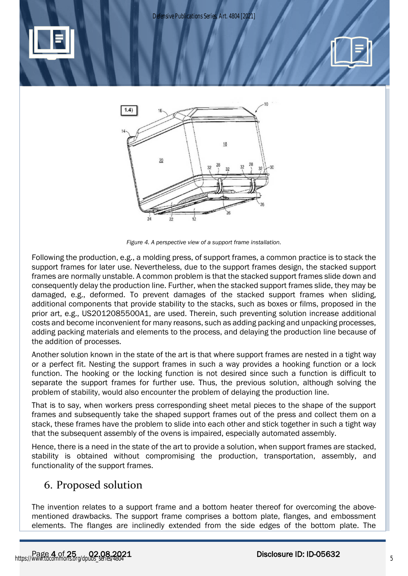*Defensive Publications Series, Art. 4804 [2021]*



*Figure 4. A perspective view of a support frame installation.*

<span id="page-4-0"></span>Following the production, e.g., a molding press, of support frames, a common practice is to stack the support frames for later use. Nevertheless, due to the support frames design, the stacked support frames are normally unstable. A common problem is that the stacked support frames slide down and consequently delay the production line. Further, when the stacked support frames slide, they may be damaged, e.g., deformed. To prevent damages of the stacked support frames when sliding, additional components that provide stability to the stacks, such as boxes or films, proposed in the prior art, e.g., [US2012085500A1,](https://worldwide.espacenet.com/patent/search?q=pn%3DUS2012085500A1) are used. Therein, such preventing solution increase additional costs and become inconvenient for many reasons, such as adding packing and unpacking processes, adding packing materials and elements to the process, and delaying the production line because of the addition of processes.

Another solution known in the state of the art is that where support frames are nested in a tight way or a perfect fit. Nesting the support frames in such a way provides a hooking function or a lock function. The hooking or the locking function is not desired since such a function is difficult to separate the support frames for further use. Thus, the previous solution, although solving the problem of stability, would also encounter the problem of delaying the production line.

That is to say, when workers press corresponding sheet metal pieces to the shape of the support frames and subsequently take the shaped support frames out of the press and collect them on a stack, these frames have the problem to slide into each other and stick together in such a tight way that the subsequent assembly of the ovens is impaired, especially automated assembly.

Hence, there is a need in the state of the art to provide a solution, when support frames are stacked, stability is obtained without compromising the production, transportation, assembly, and functionality of the support frames.

# 6. Proposed solution

The invention relates to a support frame and a bottom heater thereof for overcoming the abovementioned drawbacks. The support frame comprises a bottom plate, flanges, and embossment elements. The flanges are inclinedly extended from the side edges of the bottom plate. The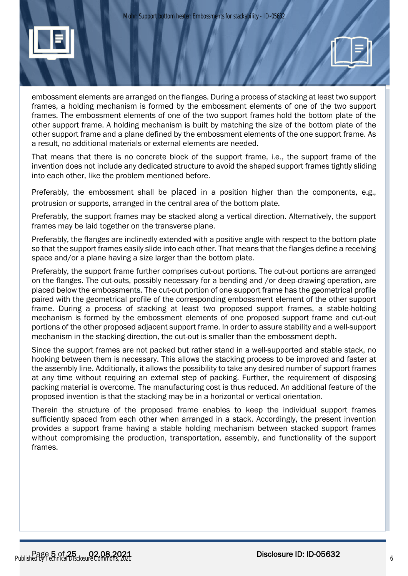



That means that there is no concrete block of the support frame, i.e., the support frame of the invention does not include any dedicated structure to avoid the shaped support frames tightly sliding into each other, like the problem mentioned before.

Preferably, the embossment shall be placed in a position higher than the components, e.g., protrusion or supports, arranged in the central area of the bottom plate.

Preferably, the support frames may be stacked along a vertical direction. Alternatively, the support frames may be laid together on the transverse plane.

Preferably, the flanges are inclinedly extended with a positive angle with respect to the bottom plate so that the support frames easily slide into each other. That means that the flanges define a receiving space and/or a plane having a size larger than the bottom plate.

Preferably, the support frame further comprises cut-out portions. The cut-out portions are arranged on the flanges. The cut-outs, possibly necessary for a bending and /or deep-drawing operation, are placed below the embossments. The cut-out portion of one support frame has the geometrical profile paired with the geometrical profile of the corresponding embossment element of the other support frame. During a process of stacking at least two proposed support frames, a stable-holding mechanism is formed by the embossment elements of one proposed support frame and cut-out portions of the other proposed adjacent support frame. In order to assure stability and a well-support mechanism in the stacking direction, the cut-out is smaller than the embossment depth.

Since the support frames are not packed but rather stand in a well-supported and stable stack, no hooking between them is necessary. This allows the stacking process to be improved and faster at the assembly line. Additionally, it allows the possibility to take any desired number of support frames at any time without requiring an external step of packing. Further, the requirement of disposing packing material is overcome. The manufacturing cost is thus reduced. An additional feature of the proposed invention is that the stacking may be in a horizontal or vertical orientation.

Therein the structure of the proposed frame enables to keep the individual support frames sufficiently spaced from each other when arranged in a stack. Accordingly, the present invention provides a support frame having a stable holding mechanism between stacked support frames without compromising the production, transportation, assembly, and functionality of the support frames.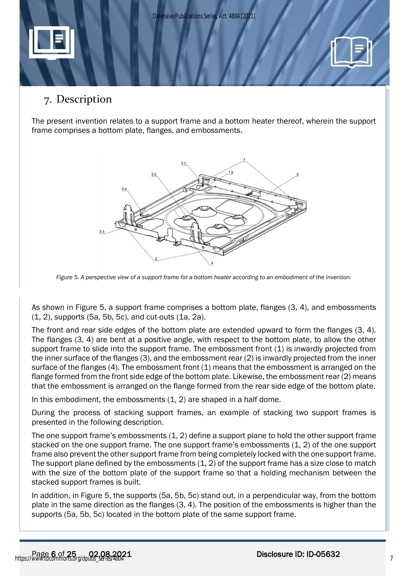

# 7. Description

The present invention relates to a support frame and a bottom heater thereof, wherein the support frame comprises a bottom plate, flanges, and embossments.



*Figure 5. A perspective view of a support frame for a bottom heater according to an embodiment of the invention.*

<span id="page-6-0"></span>As shown in [Figure 5,](#page-6-0) a support frame comprises a bottom plate, flanges (3, 4), and embossments (1, 2), supports (5a, 5b, 5c), and cut-outs (1a, 2a).

The front and rear side edges of the bottom plate are extended upward to form the flanges (3, 4). The flanges (3, 4) are bent at a positive angle, with respect to the bottom plate, to allow the other support frame to slide into the support frame. The embossment front (1) is inwardly projected from the inner surface of the flanges (3), and the embossment rear (2) is inwardly projected from the inner surface of the flanges (4). The embossment front (1) means that the embossment is arranged on the flange formed from the front side edge of the bottom plate. Likewise, the embossment rear (2) means that the embossment is arranged on the flange formed from the rear side edge of the bottom plate.

In this embodiment, the embossments (1, 2) are shaped in a half dome.

During the process of stacking support frames, an example of stacking two support frames is presented in the following description.

The one support frame's embossments (1, 2) define a support plane to hold the other support frame stacked on the one support frame. The one support frame's embossments (1, 2) of the one support frame also prevent the other support frame from being completely locked with the one support frame. The support plane defined by the embossments (1, 2) of the support frame has a size close to match with the size of the bottom plate of the support frame so that a holding mechanism between the stacked support frames is built.

In addition, in [Figure 5,](#page-6-0) the supports (5a, 5b, 5c) stand out, in a perpendicular way, from the bottom plate in the same direction as the flanges (3, 4). The position of the embossments is higher than the supports (5a, 5b, 5c) located in the bottom plate of the same support frame.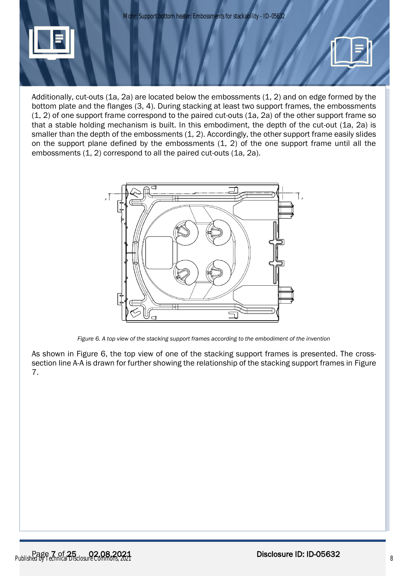

Additionally, cut-outs (1a, 2a) are located below the embossments (1, 2) and on edge formed by the bottom plate and the flanges (3, 4). During stacking at least two support frames, the embossments (1, 2) of one support frame correspond to the paired cut-outs (1a, 2a) of the other support frame so that a stable holding mechanism is built. In this embodiment, the depth of the cut-out (1a, 2a) is smaller than the depth of the embossments (1, 2). Accordingly, the other support frame easily slides on the support plane defined by the embossments (1, 2) of the one support frame until all the embossments (1, 2) correspond to all the paired cut-outs (1a, 2a).



*Figure 6. A top view of the stacking support frames according to the embodiment of the invention*

<span id="page-7-0"></span>As shown in [Figure 6,](#page-7-0) the top view of one of the stacking support frames is presented. The crosssection line A-A is drawn for further showing the relationship of the stacking support frames in [Figure](#page-8-0)  [7.](#page-8-0)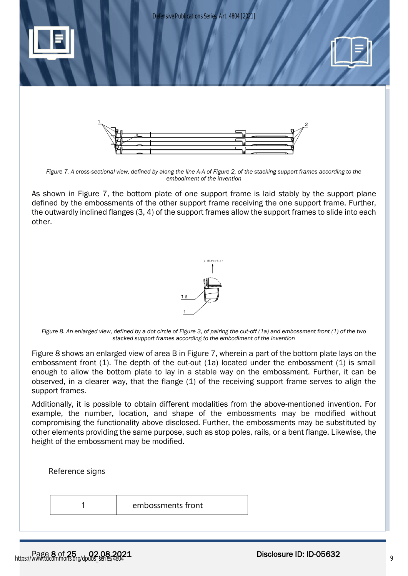





*Figure 7. A cross-sectional view, defined by along the line A-A of Figure 2, of the stacking support frames according to the embodiment of the invention*

<span id="page-8-0"></span>As shown in [Figure 7,](#page-8-0) the bottom plate of one support frame is laid stably by the support plane defined by the embossments of the other support frame receiving the one support frame. Further, the outwardly inclined flanges (3, 4) of the support frames allow the support frames to slide into each other.



*Figure 8. An enlarged view, defined by a dot circle of Figure 3, of pairing the cut-off (1a) and embossment front (1) of the two stacked support frames according to the embodiment of the invention*

<span id="page-8-1"></span>[Figure 8](#page-8-1) shows an enlarged view of area B in [Figure 7,](#page-8-0) wherein a part of the bottom plate lays on the embossment front (1). The depth of the cut-out (1a) located under the embossment (1) is small enough to allow the bottom plate to lay in a stable way on the embossment. Further, it can be observed, in a clearer way, that the flange (1) of the receiving support frame serves to align the support frames.

Additionally, it is possible to obtain different modalities from the above-mentioned invention. For example, the number, location, and shape of the embossments may be modified without compromising the functionality above disclosed. Further, the embossments may be substituted by other elements providing the same purpose, such as stop poles, rails, or a bent flange. Likewise, the height of the embossment may be modified.

Reference signs

1 embossments front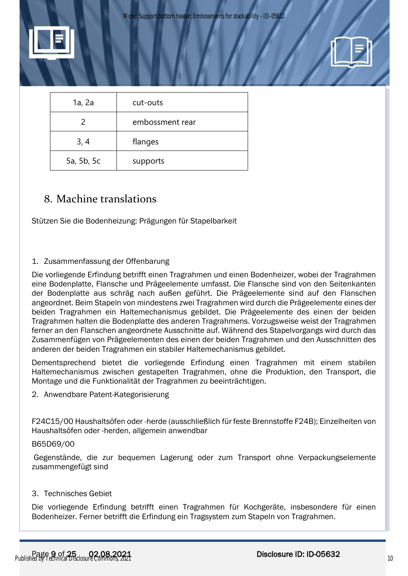

| 1a, 2a     | cut-outs        |
|------------|-----------------|
|            | embossment rear |
| 3, 4       | flanges         |
| 5a, 5b, 5c | supports        |

# 8. Machine translations

Stützen Sie die Bodenheizung: Prägungen für Stapelbarkeit

### 1. Zusammenfassung der Offenbarung

Die vorliegende Erfindung betrifft einen Tragrahmen und einen Bodenheizer, wobei der Tragrahmen eine Bodenplatte, Flansche und Prägeelemente umfasst. Die Flansche sind von den Seitenkanten der Bodenplatte aus schräg nach außen geführt. Die Prägeelemente sind auf den Flanschen angeordnet. Beim Stapeln von mindestens zwei Tragrahmen wird durch die Prägeelemente eines der beiden Tragrahmen ein Haltemechanismus gebildet. Die Prägeelemente des einen der beiden Tragrahmen halten die Bodenplatte des anderen Tragrahmens. Vorzugsweise weist der Tragrahmen ferner an den Flanschen angeordnete Ausschnitte auf. Während des Stapelvorgangs wird durch das Zusammenfügen von Prägeelementen des einen der beiden Tragrahmen und den Ausschnitten des anderen der beiden Tragrahmen ein stabiler Haltemechanismus gebildet.

Dementsprechend bietet die vorliegende Erfindung einen Tragrahmen mit einem stabilen Haltemechanismus zwischen gestapelten Tragrahmen, ohne die Produktion, den Transport, die Montage und die Funktionalität der Tragrahmen zu beeinträchtigen.

2. Anwendbare Patent-Kategorisierung

F24C15/00 Haushaltsöfen oder -herde (ausschließlich für feste Brennstoffe F24B); Einzelheiten von Haushaltsöfen oder -herden, allgemein anwendbar

### B65D69/00

Gegenstände, die zur bequemen Lagerung oder zum Transport ohne Verpackungselemente zusammengefügt sind

#### 3. Technisches Gebiet

Die vorliegende Erfindung betrifft einen Tragrahmen für Kochgeräte, insbesondere für einen Bodenheizer. Ferner betrifft die Erfindung ein Tragsystem zum Stapeln von Tragrahmen.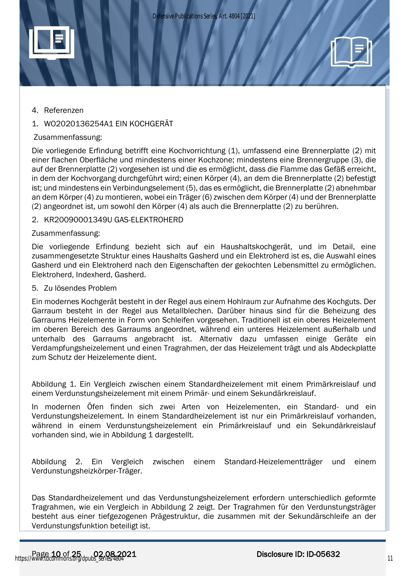

### 4. Referenzen

## 1. WO2020136254A1 EIN KOCHGERÄT

### Zusammenfassung:

Die vorliegende Erfindung betrifft eine Kochvorrichtung (1), umfassend eine Brennerplatte (2) mit einer flachen Oberfläche und mindestens einer Kochzone; mindestens eine Brennergruppe (3), die auf der Brennerplatte (2) vorgesehen ist und die es ermöglicht, dass die Flamme das Gefäß erreicht, in dem der Kochvorgang durchgeführt wird; einen Körper (4), an dem die Brennerplatte (2) befestigt ist; und mindestens ein Verbindungselement (5), das es ermöglicht, die Brennerplatte (2) abnehmbar an dem Körper (4) zu montieren, wobei ein Träger (6) zwischen dem Körper (4) und der Brennerplatte (2) angeordnet ist, um sowohl den Körper (4) als auch die Brennerplatte (2) zu berühren.

### 2. KR20090001349U GAS-ELEKTROHERD

#### Zusammenfassung:

Die vorliegende Erfindung bezieht sich auf ein Haushaltskochgerät, und im Detail, eine zusammengesetzte Struktur eines Haushalts Gasherd und ein Elektroherd ist es, die Auswahl eines Gasherd und ein Elektroherd nach den Eigenschaften der gekochten Lebensmittel zu ermöglichen. Elektroherd, Indexherd, Gasherd.

#### 5. Zu lösendes Problem

Ein modernes Kochgerät besteht in der Regel aus einem Hohlraum zur Aufnahme des Kochguts. Der Garraum besteht in der Regel aus Metallblechen. Darüber hinaus sind für die Beheizung des Garraums Heizelemente in Form von Schleifen vorgesehen. Traditionell ist ein oberes Heizelement im oberen Bereich des Garraums angeordnet, während ein unteres Heizelement außerhalb und unterhalb des Garraums angebracht ist. Alternativ dazu umfassen einige Geräte ein Verdampfungsheizelement und einen Tragrahmen, der das Heizelement trägt und als Abdeckplatte zum Schutz der Heizelemente dient.

Abbildung 1. Ein Vergleich zwischen einem Standardheizelement mit einem Primärkreislauf und einem Verdunstungsheizelement mit einem Primär- und einem Sekundärkreislauf.

In modernen Öfen finden sich zwei Arten von Heizelementen, ein Standard- und ein Verdunstungsheizelement. In einem Standardheizelement ist nur ein Primärkreislauf vorhanden, während in einem Verdunstungsheizelement ein Primärkreislauf und ein Sekundärkreislauf vorhanden sind, wie in Abbildung 1 dargestellt.

Abbildung 2. Ein Vergleich zwischen einem Standard-Heizelementträger und einem Verdunstungsheizkörper-Träger.

Das Standardheizelement und das Verdunstungsheizelement erfordern unterschiedlich geformte Tragrahmen, wie ein Vergleich in Abbildung 2 zeigt. Der Tragrahmen für den Verdunstungsträger besteht aus einer tiefgezogenen Prägestruktur, die zusammen mit der Sekundärschleife an der Verdunstungsfunktion beteiligt ist.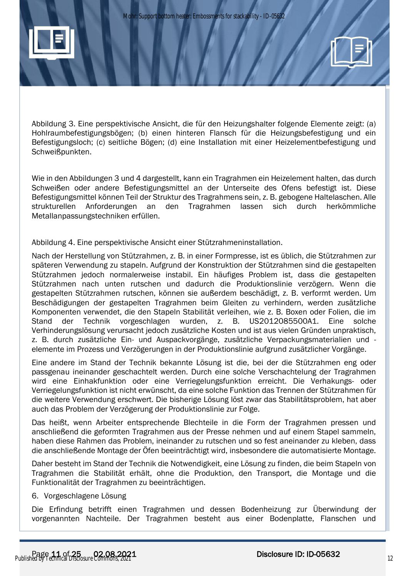

Abbildung 3. Eine perspektivische Ansicht, die für den Heizungshalter folgende Elemente zeigt: (a) Hohlraumbefestigungsbögen; (b) einen hinteren Flansch für die Heizungsbefestigung und ein Befestigungsloch; (c) seitliche Bögen; (d) eine Installation mit einer Heizelementbefestigung und Schweißpunkten.

Wie in den Abbildungen 3 und 4 dargestellt, kann ein Tragrahmen ein Heizelement halten, das durch Schweißen oder andere Befestigungsmittel an der Unterseite des Ofens befestigt ist. Diese Befestigungsmittel können Teil der Struktur des Tragrahmens sein, z. B. gebogene Haltelaschen. Alle strukturellen Anforderungen an den Tragrahmen lassen sich durch herkömmliche Metallanpassungstechniken erfüllen.

## Abbildung 4. Eine perspektivische Ansicht einer Stützrahmeninstallation.

Nach der Herstellung von Stützrahmen, z. B. in einer Formpresse, ist es üblich, die Stützrahmen zur späteren Verwendung zu stapeln. Aufgrund der Konstruktion der Stützrahmen sind die gestapelten Stützrahmen jedoch normalerweise instabil. Ein häufiges Problem ist, dass die gestapelten Stützrahmen nach unten rutschen und dadurch die Produktionslinie verzögern. Wenn die gestapelten Stützrahmen rutschen, können sie außerdem beschädigt, z. B. verformt werden. Um Beschädigungen der gestapelten Tragrahmen beim Gleiten zu verhindern, werden zusätzliche Komponenten verwendet, die den Stapeln Stabilität verleihen, wie z. B. Boxen oder Folien, die im Stand der Technik vorgeschlagen wurden, z. B. US2012085500A1. Eine solche Verhinderungslösung verursacht jedoch zusätzliche Kosten und ist aus vielen Gründen unpraktisch, z. B. durch zusätzliche Ein- und Auspackvorgänge, zusätzliche Verpackungsmaterialien und elemente im Prozess und Verzögerungen in der Produktionslinie aufgrund zusätzlicher Vorgänge.

Eine andere im Stand der Technik bekannte Lösung ist die, bei der die Stützrahmen eng oder passgenau ineinander geschachtelt werden. Durch eine solche Verschachtelung der Tragrahmen wird eine Einhakfunktion oder eine Verriegelungsfunktion erreicht. Die Verhakungs- oder Verriegelungsfunktion ist nicht erwünscht, da eine solche Funktion das Trennen der Stützrahmen für die weitere Verwendung erschwert. Die bisherige Lösung löst zwar das Stabilitätsproblem, hat aber auch das Problem der Verzögerung der Produktionslinie zur Folge.

Das heißt, wenn Arbeiter entsprechende Blechteile in die Form der Tragrahmen pressen und anschließend die geformten Tragrahmen aus der Presse nehmen und auf einem Stapel sammeln, haben diese Rahmen das Problem, ineinander zu rutschen und so fest aneinander zu kleben, dass die anschließende Montage der Öfen beeinträchtigt wird, insbesondere die automatisierte Montage.

Daher besteht im Stand der Technik die Notwendigkeit, eine Lösung zu finden, die beim Stapeln von Tragrahmen die Stabilität erhält, ohne die Produktion, den Transport, die Montage und die Funktionalität der Tragrahmen zu beeinträchtigen.

## 6. Vorgeschlagene Lösung

Die Erfindung betrifft einen Tragrahmen und dessen Bodenheizung zur Überwindung der vorgenannten Nachteile. Der Tragrahmen besteht aus einer Bodenplatte, Flanschen und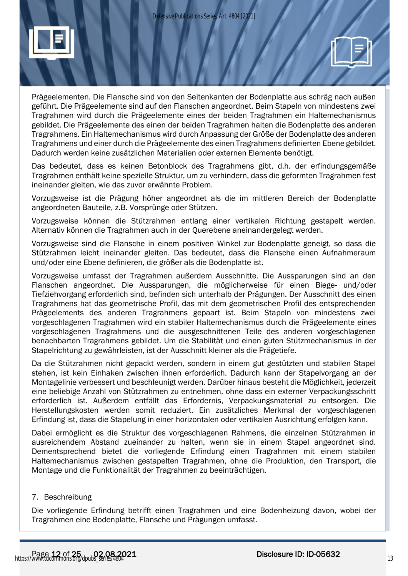

Prägeelementen. Die Flansche sind von den Seitenkanten der Bodenplatte aus schräg nach außen geführt. Die Prägeelemente sind auf den Flanschen angeordnet. Beim Stapeln von mindestens zwei Tragrahmen wird durch die Prägeelemente eines der beiden Tragrahmen ein Haltemechanismus gebildet. Die Prägeelemente des einen der beiden Tragrahmen halten die Bodenplatte des anderen Tragrahmens. Ein Haltemechanismus wird durch Anpassung der Größe der Bodenplatte des anderen Tragrahmens und einer durch die Prägeelemente des einen Tragrahmens definierten Ebene gebildet. Dadurch werden keine zusätzlichen Materialien oder externen Elemente benötigt.

Das bedeutet, dass es keinen Betonblock des Tragrahmens gibt, d.h. der erfindungsgemäße Tragrahmen enthält keine spezielle Struktur, um zu verhindern, dass die geformten Tragrahmen fest ineinander gleiten, wie das zuvor erwähnte Problem.

Vorzugsweise ist die Prägung höher angeordnet als die im mittleren Bereich der Bodenplatte angeordneten Bauteile, z.B. Vorsprünge oder Stützen.

Vorzugsweise können die Stützrahmen entlang einer vertikalen Richtung gestapelt werden. Alternativ können die Tragrahmen auch in der Querebene aneinandergelegt werden.

Vorzugsweise sind die Flansche in einem positiven Winkel zur Bodenplatte geneigt, so dass die Stützrahmen leicht ineinander gleiten. Das bedeutet, dass die Flansche einen Aufnahmeraum und/oder eine Ebene definieren, die größer als die Bodenplatte ist.

Vorzugsweise umfasst der Tragrahmen außerdem Ausschnitte. Die Aussparungen sind an den Flanschen angeordnet. Die Aussparungen, die möglicherweise für einen Biege- und/oder Tiefziehvorgang erforderlich sind, befinden sich unterhalb der Prägungen. Der Ausschnitt des einen Tragrahmens hat das geometrische Profil, das mit dem geometrischen Profil des entsprechenden Prägeelements des anderen Tragrahmens gepaart ist. Beim Stapeln von mindestens zwei vorgeschlagenen Tragrahmen wird ein stabiler Haltemechanismus durch die Prägeelemente eines vorgeschlagenen Tragrahmens und die ausgeschnittenen Teile des anderen vorgeschlagenen benachbarten Tragrahmens gebildet. Um die Stabilität und einen guten Stützmechanismus in der Stapelrichtung zu gewährleisten, ist der Ausschnitt kleiner als die Prägetiefe.

Da die Stützrahmen nicht gepackt werden, sondern in einem gut gestützten und stabilen Stapel stehen, ist kein Einhaken zwischen ihnen erforderlich. Dadurch kann der Stapelvorgang an der Montagelinie verbessert und beschleunigt werden. Darüber hinaus besteht die Möglichkeit, jederzeit eine beliebige Anzahl von Stützrahmen zu entnehmen, ohne dass ein externer Verpackungsschritt erforderlich ist. Außerdem entfällt das Erfordernis, Verpackungsmaterial zu entsorgen. Die Herstellungskosten werden somit reduziert. Ein zusätzliches Merkmal der vorgeschlagenen Erfindung ist, dass die Stapelung in einer horizontalen oder vertikalen Ausrichtung erfolgen kann.

Dabei ermöglicht es die Struktur des vorgeschlagenen Rahmens, die einzelnen Stützrahmen in ausreichendem Abstand zueinander zu halten, wenn sie in einem Stapel angeordnet sind. Dementsprechend bietet die vorliegende Erfindung einen Tragrahmen mit einem stabilen Haltemechanismus zwischen gestapelten Tragrahmen, ohne die Produktion, den Transport, die Montage und die Funktionalität der Tragrahmen zu beeinträchtigen.

## 7. Beschreibung

Die vorliegende Erfindung betrifft einen Tragrahmen und eine Bodenheizung davon, wobei der Tragrahmen eine Bodenplatte, Flansche und Prägungen umfasst.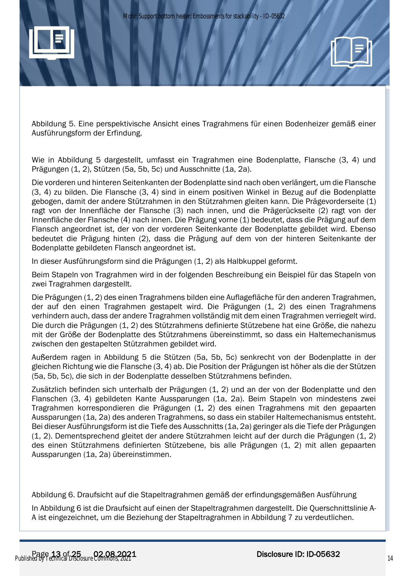

Abbildung 5. Eine perspektivische Ansicht eines Tragrahmens für einen Bodenheizer gemäß einer Ausführungsform der Erfindung.

Wie in Abbildung 5 dargestellt, umfasst ein Tragrahmen eine Bodenplatte, Flansche (3, 4) und Prägungen (1, 2), Stützen (5a, 5b, 5c) und Ausschnitte (1a, 2a).

Die vorderen und hinteren Seitenkanten der Bodenplatte sind nach oben verlängert, um die Flansche (3, 4) zu bilden. Die Flansche (3, 4) sind in einem positiven Winkel in Bezug auf die Bodenplatte gebogen, damit der andere Stützrahmen in den Stützrahmen gleiten kann. Die Prägevorderseite (1) ragt von der Innenfläche der Flansche (3) nach innen, und die Prägerückseite (2) ragt von der Innenfläche der Flansche (4) nach innen. Die Prägung vorne (1) bedeutet, dass die Prägung auf dem Flansch angeordnet ist, der von der vorderen Seitenkante der Bodenplatte gebildet wird. Ebenso bedeutet die Prägung hinten (2), dass die Prägung auf dem von der hinteren Seitenkante der Bodenplatte gebildeten Flansch angeordnet ist.

In dieser Ausführungsform sind die Prägungen (1, 2) als Halbkuppel geformt.

Beim Stapeln von Tragrahmen wird in der folgenden Beschreibung ein Beispiel für das Stapeln von zwei Tragrahmen dargestellt.

Die Prägungen (1, 2) des einen Tragrahmens bilden eine Auflagefläche für den anderen Tragrahmen, der auf den einen Tragrahmen gestapelt wird. Die Prägungen (1, 2) des einen Tragrahmens verhindern auch, dass der andere Tragrahmen vollständig mit dem einen Tragrahmen verriegelt wird. Die durch die Prägungen (1, 2) des Stützrahmens definierte Stützebene hat eine Größe, die nahezu mit der Größe der Bodenplatte des Stützrahmens übereinstimmt, so dass ein Haltemechanismus zwischen den gestapelten Stützrahmen gebildet wird.

Außerdem ragen in Abbildung 5 die Stützen (5a, 5b, 5c) senkrecht von der Bodenplatte in der gleichen Richtung wie die Flansche (3, 4) ab. Die Position der Prägungen ist höher als die der Stützen (5a, 5b, 5c), die sich in der Bodenplatte desselben Stützrahmens befinden.

Zusätzlich befinden sich unterhalb der Prägungen (1, 2) und an der von der Bodenplatte und den Flanschen (3, 4) gebildeten Kante Aussparungen (1a, 2a). Beim Stapeln von mindestens zwei Tragrahmen korrespondieren die Prägungen (1, 2) des einen Tragrahmens mit den gepaarten Aussparungen (1a, 2a) des anderen Tragrahmens, so dass ein stabiler Haltemechanismus entsteht. Bei dieser Ausführungsform ist die Tiefe des Ausschnitts (1a, 2a) geringer als die Tiefe der Prägungen (1, 2). Dementsprechend gleitet der andere Stützrahmen leicht auf der durch die Prägungen (1, 2) des einen Stützrahmens definierten Stützebene, bis alle Prägungen (1, 2) mit allen gepaarten Aussparungen (1a, 2a) übereinstimmen.

Abbildung 6. Draufsicht auf die Stapeltragrahmen gemäß der erfindungsgemäßen Ausführung

In Abbildung 6 ist die Draufsicht auf einen der Stapeltragrahmen dargestellt. Die Querschnittslinie A-A ist eingezeichnet, um die Beziehung der Stapeltragrahmen in Abbildung 7 zu verdeutlichen.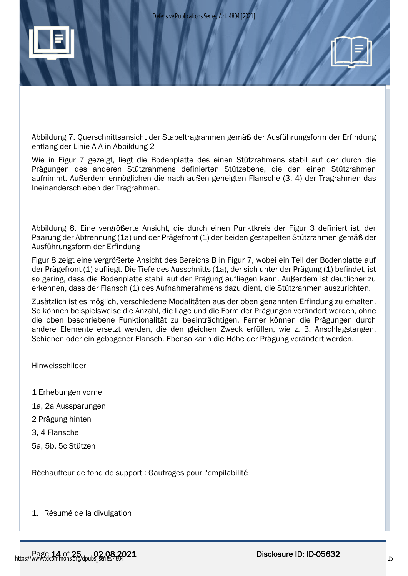

Abbildung 7. Querschnittsansicht der Stapeltragrahmen gemäß der Ausführungsform der Erfindung entlang der Linie A-A in Abbildung 2

Wie in Figur 7 gezeigt, liegt die Bodenplatte des einen Stützrahmens stabil auf der durch die Prägungen des anderen Stützrahmens definierten Stützebene, die den einen Stützrahmen aufnimmt. Außerdem ermöglichen die nach außen geneigten Flansche (3, 4) der Tragrahmen das Ineinanderschieben der Tragrahmen.

Abbildung 8. Eine vergrößerte Ansicht, die durch einen Punktkreis der Figur 3 definiert ist, der Paarung der Abtrennung (1a) und der Prägefront (1) der beiden gestapelten Stützrahmen gemäß der Ausführungsform der Erfindung

Figur 8 zeigt eine vergrößerte Ansicht des Bereichs B in Figur 7, wobei ein Teil der Bodenplatte auf der Prägefront (1) aufliegt. Die Tiefe des Ausschnitts (1a), der sich unter der Prägung (1) befindet, ist so gering, dass die Bodenplatte stabil auf der Prägung aufliegen kann. Außerdem ist deutlicher zu erkennen, dass der Flansch (1) des Aufnahmerahmens dazu dient, die Stützrahmen auszurichten.

Zusätzlich ist es möglich, verschiedene Modalitäten aus der oben genannten Erfindung zu erhalten. So können beispielsweise die Anzahl, die Lage und die Form der Prägungen verändert werden, ohne die oben beschriebene Funktionalität zu beeinträchtigen. Ferner können die Prägungen durch andere Elemente ersetzt werden, die den gleichen Zweck erfüllen, wie z. B. Anschlagstangen, Schienen oder ein gebogener Flansch. Ebenso kann die Höhe der Prägung verändert werden.

Hinweisschilder

- 1 Erhebungen vorne
- 1a, 2a Aussparungen
- 2 Prägung hinten
- 3, 4 Flansche
- 5a, 5b, 5c Stützen

Réchauffeur de fond de support : Gaufrages pour l'empilabilité

1. Résumé de la divulgation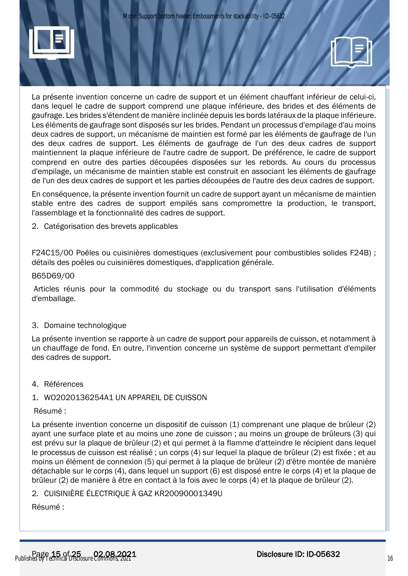



La présente invention concerne un cadre de support et un élément chauffant inférieur de celui-ci, dans lequel le cadre de support comprend une plaque inférieure, des brides et des éléments de gaufrage. Les brides s'étendent de manière inclinée depuis les bords latéraux de la plaque inférieure. Les éléments de gaufrage sont disposés sur les brides. Pendant un processus d'empilage d'au moins deux cadres de support, un mécanisme de maintien est formé par les éléments de gaufrage de l'un des deux cadres de support. Les éléments de gaufrage de l'un des deux cadres de support maintiennent la plaque inférieure de l'autre cadre de support. De préférence, le cadre de support comprend en outre des parties découpées disposées sur les rebords. Au cours du processus d'empilage, un mécanisme de maintien stable est construit en associant les éléments de gaufrage de l'un des deux cadres de support et les parties découpées de l'autre des deux cadres de support.

En conséquence, la présente invention fournit un cadre de support ayant un mécanisme de maintien stable entre des cadres de support empilés sans compromettre la production, le transport, l'assemblage et la fonctionnalité des cadres de support.

2. Catégorisation des brevets applicables

F24C15/00 Poêles ou cuisinières domestiques (exclusivement pour combustibles solides F24B) ; détails des poêles ou cuisinières domestiques, d'application générale.

#### B65D69/00

Articles réunis pour la commodité du stockage ou du transport sans l'utilisation d'éléments d'emballage.

#### 3. Domaine technologique

La présente invention se rapporte à un cadre de support pour appareils de cuisson, et notamment à un chauffage de fond. En outre, l'invention concerne un système de support permettant d'empiler des cadres de support.

4. Références

#### 1. WO2020136254A1 UN APPAREIL DE CUISSON

#### Résumé :

La présente invention concerne un dispositif de cuisson (1) comprenant une plaque de brûleur (2) ayant une surface plate et au moins une zone de cuisson ; au moins un groupe de brûleurs (3) qui est prévu sur la plaque de brûleur (2) et qui permet à la flamme d'atteindre le récipient dans lequel le processus de cuisson est réalisé ; un corps (4) sur lequel la plaque de brûleur (2) est fixée ; et au moins un élément de connexion (5) qui permet à la plaque de brûleur (2) d'être montée de manière détachable sur le corps (4), dans lequel un support (6) est disposé entre le corps (4) et la plaque de brûleur (2) de manière à être en contact à la fois avec le corps (4) et la plaque de brûleur (2).

2. CUISINIÈRE ÉLECTRIQUE À GAZ KR20090001349U

Résumé :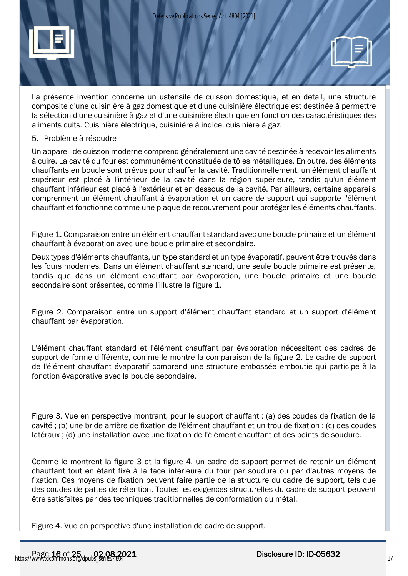

La présente invention concerne un ustensile de cuisson domestique, et en détail, une structure composite d'une cuisinière à gaz domestique et d'une cuisinière électrique est destinée à permettre la sélection d'une cuisinière à gaz et d'une cuisinière électrique en fonction des caractéristiques des aliments cuits. Cuisinière électrique, cuisinière à indice, cuisinière à gaz.

#### 5. Problème à résoudre

Un appareil de cuisson moderne comprend généralement une cavité destinée à recevoir les aliments à cuire. La cavité du four est communément constituée de tôles métalliques. En outre, des éléments chauffants en boucle sont prévus pour chauffer la cavité. Traditionnellement, un élément chauffant supérieur est placé à l'intérieur de la cavité dans la région supérieure, tandis qu'un élément chauffant inférieur est placé à l'extérieur et en dessous de la cavité. Par ailleurs, certains appareils comprennent un élément chauffant à évaporation et un cadre de support qui supporte l'élément chauffant et fonctionne comme une plaque de recouvrement pour protéger les éléments chauffants.

Figure 1. Comparaison entre un élément chauffant standard avec une boucle primaire et un élément chauffant à évaporation avec une boucle primaire et secondaire.

Deux types d'éléments chauffants, un type standard et un type évaporatif, peuvent être trouvés dans les fours modernes. Dans un élément chauffant standard, une seule boucle primaire est présente, tandis que dans un élément chauffant par évaporation, une boucle primaire et une boucle secondaire sont présentes, comme l'illustre la figure 1.

Figure 2. Comparaison entre un support d'élément chauffant standard et un support d'élément chauffant par évaporation.

L'élément chauffant standard et l'élément chauffant par évaporation nécessitent des cadres de support de forme différente, comme le montre la comparaison de la figure 2. Le cadre de support de l'élément chauffant évaporatif comprend une structure embossée emboutie qui participe à la fonction évaporative avec la boucle secondaire.

Figure 3. Vue en perspective montrant, pour le support chauffant : (a) des coudes de fixation de la cavité ; (b) une bride arrière de fixation de l'élément chauffant et un trou de fixation ; (c) des coudes latéraux ; (d) une installation avec une fixation de l'élément chauffant et des points de soudure.

Comme le montrent la figure 3 et la figure 4, un cadre de support permet de retenir un élément chauffant tout en étant fixé à la face inférieure du four par soudure ou par d'autres moyens de fixation. Ces moyens de fixation peuvent faire partie de la structure du cadre de support, tels que des coudes de pattes de rétention. Toutes les exigences structurelles du cadre de support peuvent être satisfaites par des techniques traditionnelles de conformation du métal.

Figure 4. Vue en perspective d'une installation de cadre de support.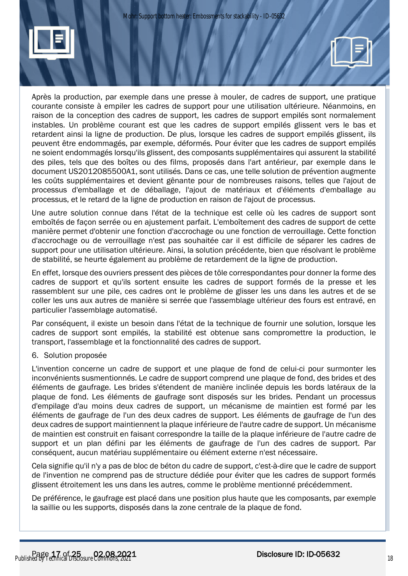



courante consiste à empiler les cadres de support pour une utilisation ultérieure. Néanmoins, en raison de la conception des cadres de support, les cadres de support empilés sont normalement instables. Un problème courant est que les cadres de support empilés glissent vers le bas et retardent ainsi la ligne de production. De plus, lorsque les cadres de support empilés glissent, ils peuvent être endommagés, par exemple, déformés. Pour éviter que les cadres de support empilés ne soient endommagés lorsqu'ils glissent, des composants supplémentaires qui assurent la stabilité des piles, tels que des boîtes ou des films, proposés dans l'art antérieur, par exemple dans le document US2012085500A1, sont utilisés. Dans ce cas, une telle solution de prévention augmente les coûts supplémentaires et devient gênante pour de nombreuses raisons, telles que l'ajout de processus d'emballage et de déballage, l'ajout de matériaux et d'éléments d'emballage au processus, et le retard de la ligne de production en raison de l'ajout de processus.

Une autre solution connue dans l'état de la technique est celle où les cadres de support sont emboîtés de façon serrée ou en ajustement parfait. L'emboîtement des cadres de support de cette manière permet d'obtenir une fonction d'accrochage ou une fonction de verrouillage. Cette fonction d'accrochage ou de verrouillage n'est pas souhaitée car il est difficile de séparer les cadres de support pour une utilisation ultérieure. Ainsi, la solution précédente, bien que résolvant le problème de stabilité, se heurte également au problème de retardement de la ligne de production.

En effet, lorsque des ouvriers pressent des pièces de tôle correspondantes pour donner la forme des cadres de support et qu'ils sortent ensuite les cadres de support formés de la presse et les rassemblent sur une pile, ces cadres ont le problème de glisser les uns dans les autres et de se coller les uns aux autres de manière si serrée que l'assemblage ultérieur des fours est entravé, en particulier l'assemblage automatisé.

Par conséquent, il existe un besoin dans l'état de la technique de fournir une solution, lorsque les cadres de support sont empilés, la stabilité est obtenue sans compromettre la production, le transport, l'assemblage et la fonctionnalité des cadres de support.

#### 6. Solution proposée

L'invention concerne un cadre de support et une plaque de fond de celui-ci pour surmonter les inconvénients susmentionnés. Le cadre de support comprend une plaque de fond, des brides et des éléments de gaufrage. Les brides s'étendent de manière inclinée depuis les bords latéraux de la plaque de fond. Les éléments de gaufrage sont disposés sur les brides. Pendant un processus d'empilage d'au moins deux cadres de support, un mécanisme de maintien est formé par les éléments de gaufrage de l'un des deux cadres de support. Les éléments de gaufrage de l'un des deux cadres de support maintiennent la plaque inférieure de l'autre cadre de support. Un mécanisme de maintien est construit en faisant correspondre la taille de la plaque inférieure de l'autre cadre de support et un plan défini par les éléments de gaufrage de l'un des cadres de support. Par conséquent, aucun matériau supplémentaire ou élément externe n'est nécessaire.

Cela signifie qu'il n'y a pas de bloc de béton du cadre de support, c'est-à-dire que le cadre de support de l'invention ne comprend pas de structure dédiée pour éviter que les cadres de support formés glissent étroitement les uns dans les autres, comme le problème mentionné précédemment.

De préférence, le gaufrage est placé dans une position plus haute que les composants, par exemple la saillie ou les supports, disposés dans la zone centrale de la plaque de fond.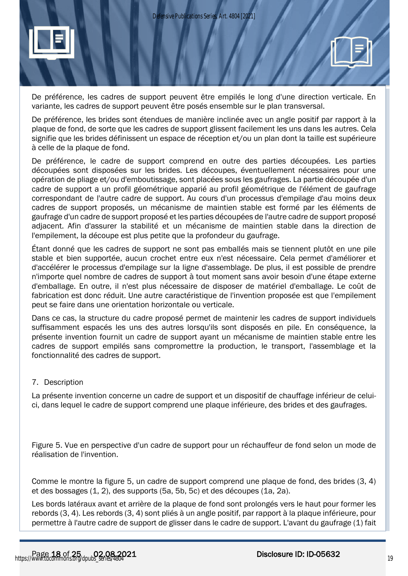

De préférence, les cadres de support peuvent être empilés le long d'une direction verticale. En variante, les cadres de support peuvent être posés ensemble sur le plan transversal.

De préférence, les brides sont étendues de manière inclinée avec un angle positif par rapport à la plaque de fond, de sorte que les cadres de support glissent facilement les uns dans les autres. Cela signifie que les brides définissent un espace de réception et/ou un plan dont la taille est supérieure à celle de la plaque de fond.

De préférence, le cadre de support comprend en outre des parties découpées. Les parties découpées sont disposées sur les brides. Les découpes, éventuellement nécessaires pour une opération de pliage et/ou d'emboutissage, sont placées sous les gaufrages. La partie découpée d'un cadre de support a un profil géométrique apparié au profil géométrique de l'élément de gaufrage correspondant de l'autre cadre de support. Au cours d'un processus d'empilage d'au moins deux cadres de support proposés, un mécanisme de maintien stable est formé par les éléments de gaufrage d'un cadre de support proposé et les parties découpées de l'autre cadre de support proposé adjacent. Afin d'assurer la stabilité et un mécanisme de maintien stable dans la direction de l'empilement, la découpe est plus petite que la profondeur du gaufrage.

Étant donné que les cadres de support ne sont pas emballés mais se tiennent plutôt en une pile stable et bien supportée, aucun crochet entre eux n'est nécessaire. Cela permet d'améliorer et d'accélérer le processus d'empilage sur la ligne d'assemblage. De plus, il est possible de prendre n'importe quel nombre de cadres de support à tout moment sans avoir besoin d'une étape externe d'emballage. En outre, il n'est plus nécessaire de disposer de matériel d'emballage. Le coût de fabrication est donc réduit. Une autre caractéristique de l'invention proposée est que l'empilement peut se faire dans une orientation horizontale ou verticale.

Dans ce cas, la structure du cadre proposé permet de maintenir les cadres de support individuels suffisamment espacés les uns des autres lorsqu'ils sont disposés en pile. En conséquence, la présente invention fournit un cadre de support ayant un mécanisme de maintien stable entre les cadres de support empilés sans compromettre la production, le transport, l'assemblage et la fonctionnalité des cadres de support.

#### 7. Description

La présente invention concerne un cadre de support et un dispositif de chauffage inférieur de celuici, dans lequel le cadre de support comprend une plaque inférieure, des brides et des gaufrages.

Figure 5. Vue en perspective d'un cadre de support pour un réchauffeur de fond selon un mode de réalisation de l'invention.

Comme le montre la figure 5, un cadre de support comprend une plaque de fond, des brides (3, 4) et des bossages (1, 2), des supports (5a, 5b, 5c) et des découpes (1a, 2a).

Les bords latéraux avant et arrière de la plaque de fond sont prolongés vers le haut pour former les rebords (3, 4). Les rebords (3, 4) sont pliés à un angle positif, par rapport à la plaque inférieure, pour permettre à l'autre cadre de support de glisser dans le cadre de support. L'avant du gaufrage (1) fait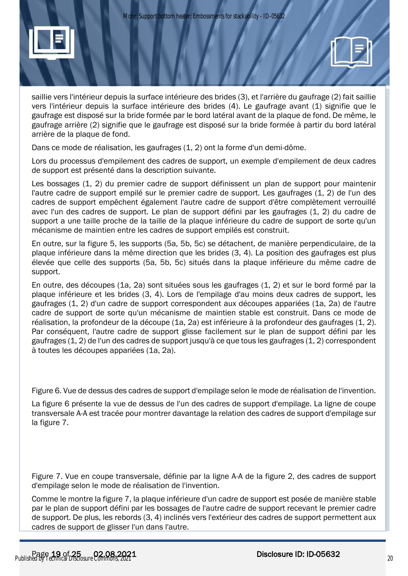



Dans ce mode de réalisation, les gaufrages (1, 2) ont la forme d'un demi-dôme.

Lors du processus d'empilement des cadres de support, un exemple d'empilement de deux cadres de support est présenté dans la description suivante.

Les bossages (1, 2) du premier cadre de support définissent un plan de support pour maintenir l'autre cadre de support empilé sur le premier cadre de support. Les gaufrages (1, 2) de l'un des cadres de support empêchent également l'autre cadre de support d'être complètement verrouillé avec l'un des cadres de support. Le plan de support défini par les gaufrages (1, 2) du cadre de support a une taille proche de la taille de la plaque inférieure du cadre de support de sorte qu'un mécanisme de maintien entre les cadres de support empilés est construit.

En outre, sur la figure 5, les supports (5a, 5b, 5c) se détachent, de manière perpendiculaire, de la plaque inférieure dans la même direction que les brides (3, 4). La position des gaufrages est plus élevée que celle des supports (5a, 5b, 5c) situés dans la plaque inférieure du même cadre de support.

En outre, des découpes (1a, 2a) sont situées sous les gaufrages (1, 2) et sur le bord formé par la plaque inférieure et les brides (3, 4). Lors de l'empilage d'au moins deux cadres de support, les gaufrages (1, 2) d'un cadre de support correspondent aux découpes appariées (1a, 2a) de l'autre cadre de support de sorte qu'un mécanisme de maintien stable est construit. Dans ce mode de réalisation, la profondeur de la découpe (1a, 2a) est inférieure à la profondeur des gaufrages (1, 2). Par conséquent, l'autre cadre de support glisse facilement sur le plan de support défini par les gaufrages (1, 2) de l'un des cadres de support jusqu'à ce que tous les gaufrages (1, 2) correspondent à toutes les découpes appariées (1a, 2a).

Figure 6. Vue de dessus des cadres de support d'empilage selon le mode de réalisation de l'invention.

La figure 6 présente la vue de dessus de l'un des cadres de support d'empilage. La ligne de coupe transversale A-A est tracée pour montrer davantage la relation des cadres de support d'empilage sur la figure 7.

Figure 7. Vue en coupe transversale, définie par la ligne A-A de la figure 2, des cadres de support d'empilage selon le mode de réalisation de l'invention.

Comme le montre la figure 7, la plaque inférieure d'un cadre de support est posée de manière stable par le plan de support défini par les bossages de l'autre cadre de support recevant le premier cadre de support. De plus, les rebords (3, 4) inclinés vers l'extérieur des cadres de support permettent aux cadres de support de glisser l'un dans l'autre.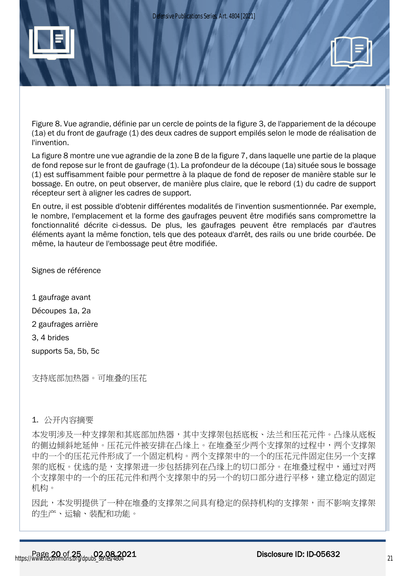



Figure 8. Vue agrandie, définie par un cercle de points de la figure 3, de l'appariement de la découpe (1a) et du front de gaufrage (1) des deux cadres de support empilés selon le mode de réalisation de l'invention.

La figure 8 montre une vue agrandie de la zone B de la figure 7, dans laquelle une partie de la plaque de fond repose sur le front de gaufrage (1). La profondeur de la découpe (1a) située sous le bossage (1) est suffisamment faible pour permettre à la plaque de fond de reposer de manière stable sur le bossage. En outre, on peut observer, de manière plus claire, que le rebord (1) du cadre de support récepteur sert à aligner les cadres de support.

En outre, il est possible d'obtenir différentes modalités de l'invention susmentionnée. Par exemple, le nombre, l'emplacement et la forme des gaufrages peuvent être modifiés sans compromettre la fonctionnalité décrite ci-dessus. De plus, les gaufrages peuvent être remplacés par d'autres éléments ayant la même fonction, tels que des poteaux d'arrêt, des rails ou une bride courbée. De même, la hauteur de l'embossage peut être modifiée.

Signes de référence

1 gaufrage avant Découpes 1a, 2a 2 gaufrages arrière 3, 4 brides supports 5a, 5b, 5c

支持底部加热器。可堆叠的压花

# 1. 公开内容摘要

本发明涉及一种支撑架和其底部加热器,其中支撑架包括底板、法兰和压花元件。凸缘从底板 的侧边倾斜地延伸。压花元件被安排在凸缘上。在堆叠至少两个支撑架的过程中,两个支撑架 中的一个的压花元件形成了一个固定机构。两个支撑架中的一个的压花元件固定住另一个支撑 架的底板。优选的是,支撑架进一步包括排列在凸缘上的切口部分。在堆叠过程中,通过对两 个支撑架中的一个的压花元件和两个支撑架中的另一个的切口部分进行平移,建立稳定的固定 机构。

因此,本发明提供了一种在堆叠的支撑架之间具有稳定的保持机构的支撑架,而不影响支撑架 的生产、运输、装配和功能。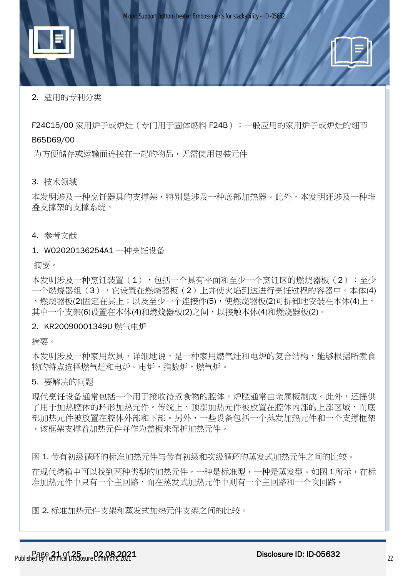

# 2. 适用的专利分类

F24C15/00 家用炉子或炉灶(专门用干固体燃料 F24B);一般应用的家用炉子或炉灶的细节 B65D69/00

为方便储存或运输而连接在一起的物品,无需使用包装元件

3. 技术领域

本发明涉及一种烹饪器具的支撑架,特别是涉及一种底部加热器。此外,本发明还涉及一种堆 叠支撑架的支撑系统。

4. 参考文献

1. WO2020136254A1 一种烹饪设备

摘要。

本发明涉及一种烹饪装置(1),包括一个具有平面和至少一个烹饪区的燃烧器板(2);至少 一个燃烧器组(3),它设置在燃烧器板(2)上并使火焰到达进行烹饪过程的容器中。本体(4) ,燃烧器板(2)固定在其上;以及至少一个连接件(5),使燃烧器板(2)可拆卸地安装在本体(4)上, 其中一个支架(6)设置在本体(4)和燃烧器板(2)之间,以接触本体(4)和燃烧器板(2)。

#### 2. KR20090001349U 燃气电炉

摘要。

本发明涉及一种家用炊具,详细地说,是一种家用燃气灶和电炉的复合结构,能够根据所煮食 物的特点选择燃气灶和电炉。电炉,指数炉,燃气炉。

#### 5. 要解决的问题

现代烹饪设备通常包括一个用于接收待煮食物的腔体。炉腔通常由金属板制成。此外,还提供 了用于加热腔体的环形加热元件。传统上,顶部加热元件被放置在腔体内部的上部区域,而底 部加热元件被放置在腔体外部和下部。另外,一些设备包括一个蒸发加热元件和一个支撑框架 ,该框架支撑着加热元件并作为盖板来保护加热元件。

图 1. 带有初级循环的标准加热元件与带有初级和次级循环的蒸发式加热元件之间的比较。

在现代烤箱中可以找到两种类型的加热元件,一种是标准型,一种是蒸发型。如图 1所示,在标 准加热元件中只有一个主回路,而在蒸发式加热元件中则有一个主回路和一个次回路。

图 2. 标准加热元件支架和蒸发式加热元件支架之间的比较。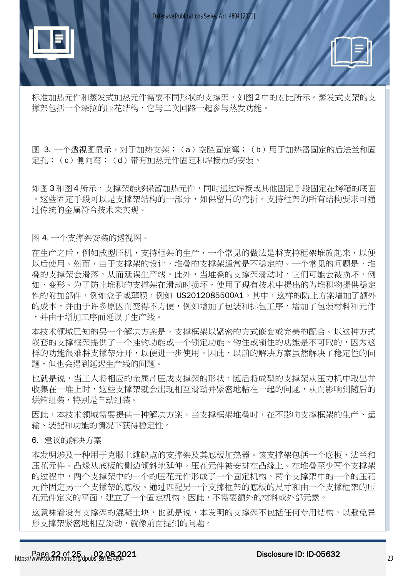



标准加热元件和蒸发式加热元件需要不同形状的支撑架,如图2中的对比所示。蒸发式支架的支 撑架包括一个深拉的压花结构,它与二次回路一起参与蒸发功能。

图 3. 一个透视图显示,对于加热支架;(a)空腔固定弯;(b)用于加热器固定的后法兰和固 定孔;(c)侧向弯;(d)带有加热元件固定和焊接点的安装。

如图 3 和图 4 所示,支撑架能够保留加热元件,同时通过焊接或其他固定手段固定在烤箱的底面 。这些固定手段可以是支撑架结构的一部分,如保留片的弯折。支持框架的所有结构要求可通 过传统的金属符合技术来实现。

图 4. 一个支撑架安装的透视图。

在生产之后,例如成型压机,支持框架的生产,一个常见的做法是将支持框架堆放起来,以便 以后使用。然而,由于支撑架的设计,堆叠的支撑架通常是不稳定的。一个常见的问题是,堆 **叠的支撑架会滑落**,从而延误生产线。此外,当堆叠的支撑架滑动时,它们可能会被损坏,例 如,变形。为了防止堆积的支撑架在滑动时损坏,使用了现有技术中提出的为堆积物提供稳定 性的附加部件,例如盒子或薄膜,例如 US2012085500A1。其中,这样的防止方案增加了额外 的成本,并由于许多原因而变得不方便,例如增加了包装和拆包工序,增加了包装材料和元件 ,并由于增加工序而延误了生产线。

本技术领域已知的另一个解决方案是,支撑框架以紧密的方式嵌套或完美的配合。以这种方式 嵌套的支撑框架提供了一个挂钩功能或一个锁定功能。钩住或锁住的功能是不可取的,因为这 样的功能很难将支撑架分开,以便进一步使用。因此,以前的解决方案虽然解决了稳定性的问 题,但也会遇到延迟生产线的问题。

**也就是说,当工人将相应的金属片压成支撑架的形状,随后将成型的支撑架从压力机中取出并** 收集在一堆上时,这些支撑架就会出现相互滑动并紧密地粘在一起的问题,从而影响到随后的 烘箱组装,特别是自动组装。

因此,本技术领域需要提供一种解决方案,当支撑框架堆叠时,在不影响支撑框架的生产、运 输、装配和功能的情况下获得稳定性。

6. 建议的解决方案

本发明涉及一种用于克服上述缺点的支撑架及其底板加热器。该支撑架包括一个底板、法兰和 压花元件。凸缘从底板的侧边倾斜地延伸。压花元件被安排在凸缘上。在堆叠至少两个支撑架 的过程中,两个支撑架中的一个的压花元件形成了一个固定机构。两个支撑架中的一个的压花 元件固定另一个支撑架的底板。通过匹配另一个支撑框架的底板的尺寸和由一个支撑框架的压 花元件定义的平面,建立了一个固定机构。因此,不需要额外的材料或外部元素。

这意味着没有支撑架的混凝土块,也就是说,本发明的支撑架不包括任何专用结构,以避免异 形支撑架紧密地相互滑动,就像前面提到的问题。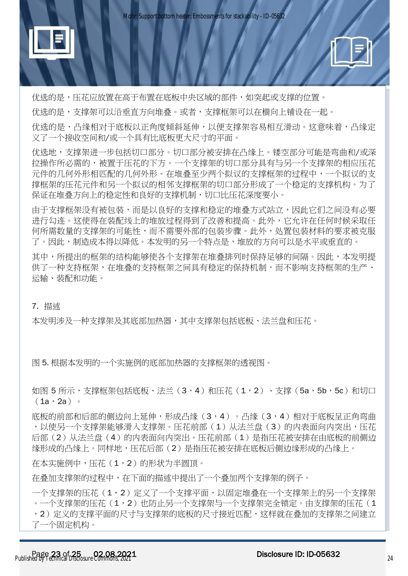



优选的是,压花应放置在高于布置在底板中央区域的部件,如突起或支撑的位置。

优选的是,支撑架可以沿垂直方向堆叠。或者,支撑框架可以在横向上铺设在一起。

优选的是,凸缘相对于底板以正角度倾斜延伸,以便支撑架容易相互滑动。这意味着,凸缘定 义了一个接收空间和/或一个具有比底板更大尺寸的平面。

优选地,支撑架进一步包括切口部分。切口部分被安排在凸缘上。镂空部分可能是弯曲和/或深 拉操作所必需的,被置于压花的下方。一个支撑架的切口部分具有与另一个支撑架的相应压花 元件的几何外形相匹配的几何外形。在堆叠至少两个拟议的支撑框架的过程中,一个拟议的支 撑框架的压花元件和另一个拟议的相邻支撑框架的切口部分形成了一个稳定的支撑机构。为了 保证在堆叠方向上的稳定性和良好的支撑机制,切口比压花深度要小。

由于支撑框架没有被包装,而是以良好的支撑和稳定的堆叠方式站立,因此它们之间没有必要 进行勾连。这使得在装配线上的堆放过程得到了改善和提高。此外,它允许在任何时候采取任 何所需数量的支撑架的可能性,而不需要外部的包装步骤。此外,处置包装材料的要求被克服 了。因此,制造成本得以降低。本发明的另一个特点是,堆放的方向可以是水平或垂直的。

其中,所提出的框架的结构能够使各个支撑架在堆叠排列时保持足够的间隔。因此,本**发明**提 供了一种支持框架,在堆叠的支持框架之间具有稳定的保持机制,而不影响支持框架的生产、 运输、装配和功能。

## 7. 描述

本发明涉及一种支撑架及其底部加热器,其中支撑架包括底板、法兰盘和压花。

图 5. 根据本发明的一个实施例的底部加热器的支撑框架的透视图。

如图 5 所示,支撑框架包括底板、法兰(3,4)和压花(1,2)、支撑(5a,5b,5c)和切口  $(1a, 2a)$ 

底板的前部和后部的侧边向上延伸,形成凸缘(3,4)。凸缘(3,4)相对于底板呈正角弯曲 ,以使另一个支撑架能够滑入支撑架。压花前部(1)从法兰盘(3)的内表面向内突出,压花 后部(2)从法兰盘(4)的内表面向内突出。压花前部(1)是指压花被安排在由底板的前侧边 缘形成的凸缘上。同样地,压花后部(2)是指压花被安排在底板后侧边缘形成的凸缘上。

在本实施例中,压花(1,2)的形状为半圆顶。

在叠加支撑架的过程中,在下面的描述中提出了一个叠加两个支撑架的例子。

一个支撑架的压花(1,2)定义了一个支撑平面,以固定堆叠在一个支撑架上的另一个支撑架 。一个支撑架的压花(1,2)也防止另一个支撑架与一个支撑架完全锁定。由支撑架的压花(1 ,2)定义的支撑平面的尺寸与支撑架的底板的尺寸接近匹配,这样就在叠加的支撑架之间建立 了一个固定机构。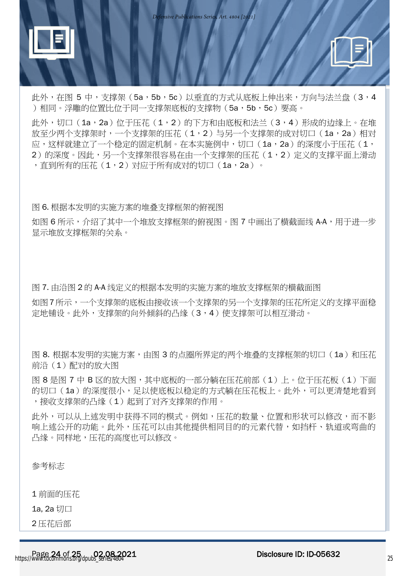



此外, 在图 5 中, 支撑架 (5a, 5b, 5c) 以垂直的方式从底板上伸出来, 方向与法兰盘 (3, 4 )相同。浮雕的位置比位于同一支撑架底板的支撑物 (5a,5b,5c)要高。

此外,切口 (1a,2a)位于压花 (1,2)的下方和由底板和法兰 (3,4) 形成的边缘上。在堆 放至少两个支撑架时,一个支撑架的压花(1,2)与另一个支撑架的成对切口(1a,2a)相对 应,这样就建立了一个稳定的固定机制。在本实施例中,切口 (1a,2a) 的深度小于压花 (1, 2)的深度。因此,另一个支撑架很容易在由一个支撑架的压花(1,2)定义的支撑平面上滑动 ,直到所有的压花(1,2)对应于所有成对的切口(1a,2a)。

图 6. 根据本发明的实施方案的堆叠支撑框架的俯视图

如图 6 所示,介绍了其中一个堆放支撑框架的俯视图。图 7 中画出了横截面线 A-A,用干讲一步 显示堆放支撑框架的关系。

图 7. 由沿图 2 的 A-A 线定义的根据本发明的实施方案的堆放支撑框架的横截面图

如图7所示,一个支撑架的底板由接收该一个支撑架的另一个支撑架的压花所定义的支撑平面稳 定地铺设。此外,支撑架的向外倾斜的凸缘(3,4)使支撑架可以相互滑动。

图 8. 根据本发明的实施方案,由图 3 的点圈所界定的两个堆叠的支撑框架的切口(1a)和压花 前沿(1)配对的放大图

图 8 是图 7 中 B 区的放大图,其中底板的一部分躺在压花前部(1)上。位于压花板(1)下面 的切口 (1a) 的深度很小, 足以使底板以稳定的方式躺在压花板上。此外, 可以更清楚地看到 ,接收支撑架的凸缘(1)起到了对齐支撑架的作用。

此外,可以从上述发明中获得不同的模式。例如,压花的数量、位置和形状可以修改,而不影 响上述公开的功能。此外,压花可以由其他提供相同目的的元素代替,如挡杆、轨道或弯曲的 凸缘。同样地,压花的高度也可以修改。

参考标志

1 前面的压花

1a, 2a 切口

2 压花后部